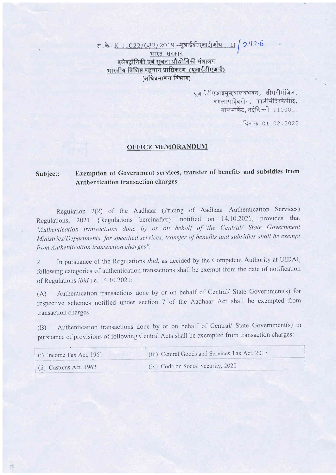सं. के K-11022/632/2019 - यूआईडीएआई(ऑय-11) 2426

भारत सरकार इलेक्ट्रॉनिकी एवं सूचना प्रौद्योगिकी मंत्रालय भारतीय विशिष्ट पहचान प्राधिकरण (यूआईडीएआई) (अधिप्रमाणन विभाग)

> यआईडीएआईमखयालयभवन, तीसरीमंजिल, बंगलासाहेबरोड, कालीमंदिरकेपीछे, गोलमार्केट, नईदिल्ली-110001.

> > दिनांक: 01.02.2022

## **OFFICE MEMORANDUM**

## Exemption of Government services, transfer of benefits and subsidies from Subject: Authentication transaction charges.

Regulation 2(2) of the Aadhaar (Pricing of Aadhaar Authentication Services) Regulations, 2021 {Regulations hereinafter}, notified on 14.10.2021, provides that "Authentication transactions done by or on behalf of the Central/ State Government Ministries/Departments, for specified services, transfer of benefits and subsidies shall be exempt from Authentication transaction charges".

In pursuance of the Regulations *ibid*, as decided by the Competent Authority at UIDAI, 2. following categories of authentication transactions shall be exempt from the date of notification of Regulations *ibid* i.e. 14.10.2021:

Authentication transactions done by or on behalf of Central/ State Government(s) for  $(A)$ respective schemes notified under section 7 of the Aadhaar Act shall be exempted from transaction charges.

Authentication transactions done by or on behalf of Central/ State Government(s) in  $(B)$ pursuance of provisions of following Central Acts shall be exempted from transaction charges:

| (i) Income Tax Act, $1961$ | (iii) Central Goods and Services Tax Act, 2017 |
|----------------------------|------------------------------------------------|
| $(ii)$ Customs Act, 1962   | (iv) Code on Social Security, 2020             |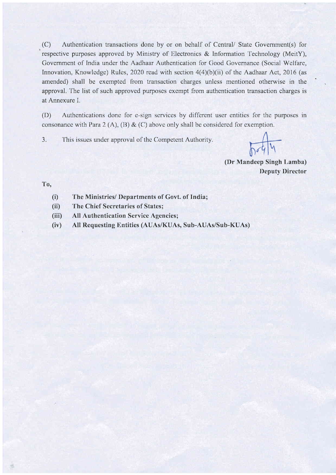(C) Authentication transactions done by or on behalf of Central/ State Government(s) for respective purposes approved by Ministry of Electronics & Information Technology (MeitY), Government of India under the Aadhaar Authentication for Good Governance (Social Welfare, Innovation, Knowledge) Rules, 2020 read with section  $4(4)(b)(ii)$  of the Aadhaar Act, 2016 (as amended) shall be exempted from transaction charges unless mentioned otherwise in the approval. The list of such approved purposes exempt from authentication transaction charges is at Annexure I.

(D) Authentications done for e-sign services by different user entities for the purposes in consonance with Para 2 (A), (B) & (C) above only shall be considered for exemption.

3. This issues under approval of the Competent Authority.

 $\sqrt{694}$ 

(Dr Mandeep Singh Lamba) I)cputy Dircctor

## 'I'o,

- (i) The Ministries/ Departments of Govt. of India;
- (ii) The Chief Secretaries of States;
- (iii) All Authentication Service Agencies;
- (iv) All Requesting Entities (AUAs/KUAs, Sub-AUAs/Sub-KUAs)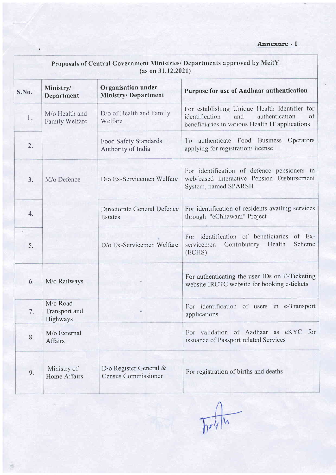| Proposals of Central Government Ministries/ Departments approved by MeitY<br>(as on 31.12.2021) |                                       |                                                         |                                                                                                                                                   |
|-------------------------------------------------------------------------------------------------|---------------------------------------|---------------------------------------------------------|---------------------------------------------------------------------------------------------------------------------------------------------------|
| S.No.                                                                                           | Ministry/<br>Department               | <b>Organisation under</b><br><b>Ministry/Department</b> | Purpose for use of Aadhaar authentication                                                                                                         |
| 1.                                                                                              | M/o Health and<br>Family Welfare      | D/o of Health and Family<br>Welfare                     | For establishing Unique Health Identifier for<br>authentication<br>identification<br>and<br>of<br>beneficiaries in various Health IT applications |
| 2.                                                                                              |                                       | <b>Food Safety Standards</b><br>Authority of India      | authenticate Food Business<br>Operators<br>To<br>applying for registration/license                                                                |
| 3.                                                                                              | M/o Defence                           | D/o Ex-Servicemen Welfare                               | For identification of defence pensioners in<br>web-based interactive Pension Disbursement<br>System, named SPARSH                                 |
| 4.                                                                                              |                                       | Directorate General Defence<br>Estates                  | For identification of residents availing services<br>through "eChhawani" Project                                                                  |
| 5.                                                                                              |                                       | D/o Ex-Servicemen Welfare                               | For identification of beneficiaries<br>$of$ Ex-<br>Health<br>Scheme<br>Contributory<br>servicemen<br>(ECHS)                                       |
| 6.                                                                                              | M/o Railways                          |                                                         | For authenticating the user IDs on E-Ticketing<br>website IRCTC website for booking e-tickets                                                     |
| 7.                                                                                              | M/o Road<br>Transport and<br>Highways |                                                         | For identification of users in e-Transport<br>applications                                                                                        |
| 8.                                                                                              | M/o External<br><b>Affairs</b>        |                                                         | For validation of Aadhaar as eKYC for<br>issuance of Passport related Services                                                                    |
| 9.                                                                                              | Ministry of<br><b>Home Affairs</b>    | D/o Register General $\&$<br><b>Census Commissioner</b> | For registration of births and deaths                                                                                                             |

ğ.

 $\sqrt{\frac{1}{n}}$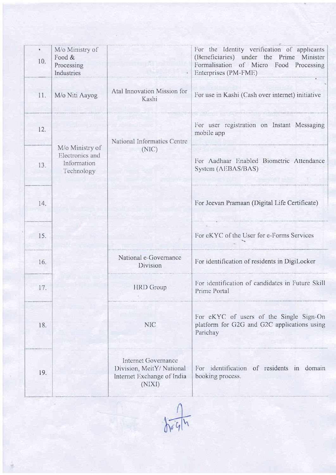| $\pmb{\mathfrak{g}}$<br>10. | M/o Ministry of<br>Food &<br>Processing<br>Industries           |                                                                                         | For the Identity verification of applicants<br>(Beneficiaries) under the Prime Minister<br>Formalisation of Micro Food Processing<br>Enterprises (PM-FME) |
|-----------------------------|-----------------------------------------------------------------|-----------------------------------------------------------------------------------------|-----------------------------------------------------------------------------------------------------------------------------------------------------------|
| 11.                         | M/o Niti Aayog                                                  | Atal Innovation Mission for<br>Kashi                                                    | For use in Kashi (Cash over internet) initiative                                                                                                          |
| 12.                         |                                                                 | National Informatics Centre                                                             | For user registration on Instant Messaging<br>mobile app                                                                                                  |
| 13.                         | M/o Ministry of<br>Electronics and<br>Information<br>Technology | (NIC)                                                                                   | For Aadhaar Enabled Biometric Attendance<br>System (AEBAS/BAS)                                                                                            |
| 14.                         |                                                                 |                                                                                         | For Jeevan Pramaan (Digital Life Certificate)                                                                                                             |
| 15.                         |                                                                 |                                                                                         | For eKYC of the User for e-Forms Services                                                                                                                 |
| 16.                         |                                                                 | National e-Governance<br>Division                                                       | For identification of residents in DigiLocker                                                                                                             |
| 17.                         |                                                                 | <b>HRD</b> Group                                                                        | For identification of candidates in Future Skill<br>Prime Portal                                                                                          |
| 18.                         |                                                                 | <b>NIC</b>                                                                              | For eKYC of users of the Single Sign-On<br>platform for G2G and G2C applications using<br>Parichay                                                        |
| 19.                         |                                                                 | Internet Governance<br>Division, MeitY/National<br>Internet Exchange of India<br>(NIXI) | For identification of residents in domain<br>booking process.                                                                                             |

 $\sqrt{\frac{1}{\sqrt{6}}\frac{1}{4}}$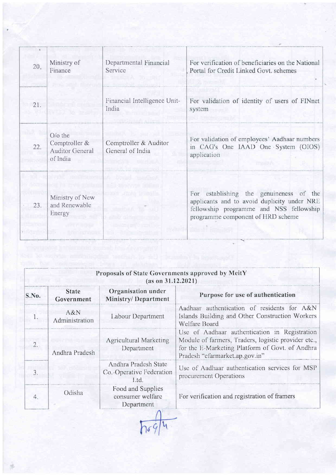|     |                                                                |                                           | Portal for Credit Linked Govt. schemes                                                                                                                                 |
|-----|----------------------------------------------------------------|-------------------------------------------|------------------------------------------------------------------------------------------------------------------------------------------------------------------------|
| 21. |                                                                | Financial Intelligence Unit-<br>India     | For validation of identity of users of FINnet<br>system                                                                                                                |
| 22. | O/o the<br>Comptroller &<br><b>Auditor General</b><br>of India | Comptroller & Auditor<br>General of India | For validation of employees' Aadhaar numbers<br>in CAG's One IAAD One System (OIOS)<br>application<br>muzw                                                             |
| 23. | Ministry of New<br>and Renewable<br>Energy                     | san kata                                  | For establishing the genuineness of the<br>applicants and to avoid duplicity under NRE<br>fellowship programme and NSS fellowship<br>programme component of HRD scheme |

|       | Proposals of State Governments approved by MeitY<br>(as on 31.12.2021) |                                                          |                                                                                                                                                                                           |  |  |
|-------|------------------------------------------------------------------------|----------------------------------------------------------|-------------------------------------------------------------------------------------------------------------------------------------------------------------------------------------------|--|--|
| S.No. | <b>State</b><br>Government                                             | Organisation under<br><b>Ministry/Department</b>         | Purpose for use of authentication                                                                                                                                                         |  |  |
|       | A & N<br>Administration                                                | Labour Department                                        | Aadhaar authentication of residents for A&N<br>Islands Building and Other Construction Workers<br>Welfare Board                                                                           |  |  |
| 2.    | Andhra Pradesh                                                         | <b>Agricultural Marketing</b><br>Department              | Use of Aadhaar authentication in Registration<br>Module of farmers, Traders, logistic provider etc.,<br>for the E-Marketing Platform of Govt. of Andhra<br>Pradesh "efarmarket.ap.gov.in" |  |  |
| 3.    |                                                                        | Andhra Pradesh State<br>Co.-Operative Federation<br>Ltd. | Use of Aadhaar authentication services for MSP<br>procurement Operations                                                                                                                  |  |  |
| 4.    | Odisha                                                                 | Food and Supplies<br>consumer welfare<br>Department      | For verification and registration of framers                                                                                                                                              |  |  |

 $\sqrt{694}$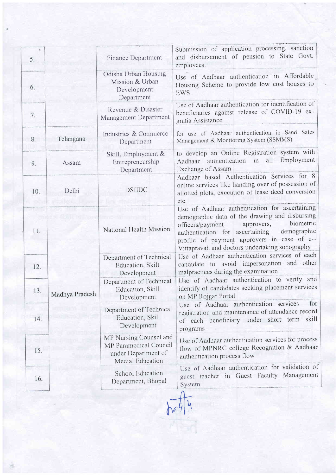| 5.  |                | Finance Department                                                                          | Submission of application processing, sanction<br>and disbursement of pension to State Govt.<br>employees.                                                                                                                                                                                         |
|-----|----------------|---------------------------------------------------------------------------------------------|----------------------------------------------------------------------------------------------------------------------------------------------------------------------------------------------------------------------------------------------------------------------------------------------------|
| 6.  |                | Odisha Urban Housing<br>Mission & Urban<br>Development<br>Department                        | Use of Aadhaar authentication in Affordable<br>Housing Scheme to provide low cost houses to<br><b>EWS</b>                                                                                                                                                                                          |
| 7.  |                | Revenue & Disaster<br>Management Department                                                 | Use of Aadhaar authentication for identification of<br>beneficiaries against release of COVID-19 ex-<br>gratia Assistance                                                                                                                                                                          |
| 8.  | Telangana      | Industries & Commerce<br>Department                                                         | for use of Aadhaar authentication in Sand Sales<br>Management & Monitoring System (SSMMS)                                                                                                                                                                                                          |
| 9.  | Assam          | Skill, Employment &<br>Entrepreneurship<br>Department                                       | to develop an Online Registration system with<br>Aadhaar authentication in all Employment<br>Exchange of Assam                                                                                                                                                                                     |
| 10. | Delhi          | <b>DSHDC</b>                                                                                | Aadhaar based Authentication Services for 8<br>online services like handing over of possession of<br>allotted plots, execution of lease deed conversion<br>etc.                                                                                                                                    |
| 11. | Madhya Pradesh | National Health Mission                                                                     | Use of Aadhaar authentication for ascertaining<br>demographic data of the drawing and disbursing<br>biometric<br>approvers,<br>officers/payment<br>demographic<br>authentication for ascertaining<br>profile of payment approvers in case of e--<br>Vittapravah and doctors undertaking sonography |
| 12. |                | Department of Technical<br>Education, Skill<br>Development                                  | Use of Aadhaar authentication services of each<br>candidate to avoid impersonation and other<br>malpractices during the examination                                                                                                                                                                |
| 13. |                | Department of Technical<br>Education, Skill<br>Development                                  | Use of Aadhaar authentication to verify and<br>identify of candidates seeking placement services<br>on MP Rojgar Portal                                                                                                                                                                            |
| 14. |                | Department of Technical<br>Education, Skill<br>Development                                  | for<br>Use of Aadhaar authentication services<br>registration and maintenance of attendance record<br>of each beneficiary under short term skill<br>programs                                                                                                                                       |
| 15. |                | MP Nursing Counsel and<br>MP Paramedical Council<br>under Department of<br>Medial Education | Use of Aadhaar authentication services for process<br>flow of MPNRC college Recognition & Aadhaar<br>authentication process flow                                                                                                                                                                   |
| 16. |                | School Education<br>Department, Bhopal                                                      | Use of Aadhaar authentication for validation of<br>guest teacher in Guest Faculty Management<br>System                                                                                                                                                                                             |
|     |                |                                                                                             |                                                                                                                                                                                                                                                                                                    |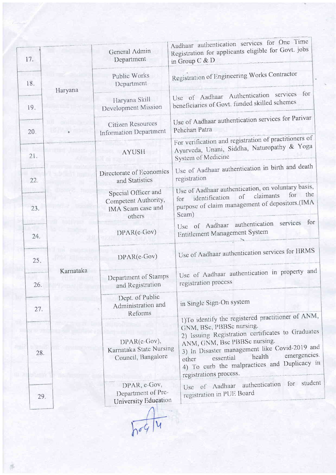| 17. |           | General Admin<br>Department                                                | Aadhaar authentication services for One Time<br>Registration for applicants eligible for Govt. jobs<br>in Group C & D                                                                                                                                                                                                                         |
|-----|-----------|----------------------------------------------------------------------------|-----------------------------------------------------------------------------------------------------------------------------------------------------------------------------------------------------------------------------------------------------------------------------------------------------------------------------------------------|
| 18. |           | Public Works<br>Department                                                 | Registration of Engineering Works Contractor                                                                                                                                                                                                                                                                                                  |
| 19. | Haryana   | Haryana Skill<br>Development Mission                                       | for<br>Use of Aadhaar Authentication services<br>beneficiaries of Govt. funded skilled schemes                                                                                                                                                                                                                                                |
| 20. |           | Citizen Resources<br>Information Department                                | Use of Aadhaar authentication services for Parivar<br>Pehchan Patra                                                                                                                                                                                                                                                                           |
| 21. |           | <b>AYUSH</b>                                                               | For verification and registration of practitioners of<br>Ayurveda, Unani, Siddha, Naturopathy & Yoga<br>System of Medicine                                                                                                                                                                                                                    |
| 22. |           | Directorate of Economics<br>and Statistics                                 | Use of Aadhaar authentication in birth and death<br>registration                                                                                                                                                                                                                                                                              |
| 23. | Karnataka | Special Officer and<br>Competent Authority,<br>IMA Scam case and<br>others | Use of Aadhaar authentication, on voluntary basis,<br>for the<br>claimants<br>$\sigma$ f<br>identification<br>for<br>purpose of claim management of depositors.(IMA<br>Scam)                                                                                                                                                                  |
| 24. |           | $DPAR(e-Gov)$                                                              | for<br>Use of Aadhaar authentication services<br>Entitlement Management System                                                                                                                                                                                                                                                                |
| 25. |           | DPAR(e-Gov)                                                                | Use of Aadhaar authentication services for HRMS                                                                                                                                                                                                                                                                                               |
| 26. |           | Department of Stamps<br>and Registration                                   | Use of Aadhaar authentication in property and<br>registration process                                                                                                                                                                                                                                                                         |
| 27. |           | Dept. of Public<br>Administration and                                      | in Single Sign-On system                                                                                                                                                                                                                                                                                                                      |
| 28. |           | Reforms<br>DPAR(c-Gov),<br>Karnataka State Nursing<br>Council, Bangalore   | 1)To identify the registered practitioner of ANM,<br>GNM, BSc, PBBSc nursing.<br>2) Issuing Registration certificates to Graduates<br>ANM, GNM, Bsc PBBSc nursing.<br>3) In Disaster management like Covid-2019 and<br>emergencies.<br>health<br>essential<br>other<br>4) To curb the malpractices and Duplicacy in<br>registrations process. |
| 29. |           | DPAR, e-Gov,<br>Department of Pre-<br>University Education                 | Use of Aadhaar authentication for student<br>registration in PUE Board                                                                                                                                                                                                                                                                        |

 $h^{0}4/4$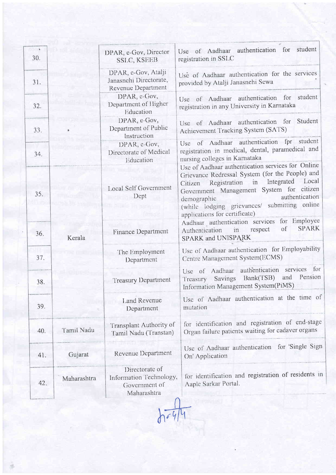| 30. |             | DPAR, e-Gov, Director<br>SSLC, KSEEB                                      | student<br>for<br>Use of Aadhaar authentication<br>registration in SSLC                                                                                                                                                                                                                                                    |
|-----|-------------|---------------------------------------------------------------------------|----------------------------------------------------------------------------------------------------------------------------------------------------------------------------------------------------------------------------------------------------------------------------------------------------------------------------|
| 31. |             | DPAR, e-Gov, Atalji<br>Janasnehi Directorate,<br>Revenue Department       | Use of Aadhaar authentication for the services<br>provided by Atalji Janasnehi Sewa                                                                                                                                                                                                                                        |
| 32. |             | DPAR, c-Gov,<br>Department of Higher<br>Education                         | student<br>Use of Aadhaar authentication for<br>registration in any University in Karnataka                                                                                                                                                                                                                                |
| 33. |             | DPAR, e-Gov,<br>Department of Public<br>Instruction                       | Student<br>Use of Aadhaar authentication for<br>Achievement Tracking System (SATS)                                                                                                                                                                                                                                         |
| 34. |             | DPAR, e-Gov,<br>Directorate of Medical<br>Education                       | Use of Aadhaar authentication fpr student<br>registration in medical, dental, paramedical and<br>nursing colleges in Karnataka                                                                                                                                                                                             |
| 35. |             | Local Self Government<br>Dept                                             | Use of Aadhaar authentication services for Online<br>Grievance Redressal System (for the People) and<br>Local<br>Integrated<br>Registration<br>in<br>Citizen<br>Government Management System for citizen<br>authentication<br>demographic<br>(while lodging grievances/ submitting online<br>applications for certificate) |
| 36. | Kerala      | Finance Department                                                        | for Employee<br>Aadhaar authentication services<br><b>SPARK</b><br>of<br>respect<br>in<br>Authentication<br>SPARK and UNISPARK                                                                                                                                                                                             |
| 37. |             | The Employment<br>Department                                              | Use of Aadhaar authentication for Employability<br>Centre Management System(ECMS)                                                                                                                                                                                                                                          |
| 38. |             | <b>Treasury Department</b>                                                | for<br>authentication services<br>Use of Aadhaar<br>Bank(TSB) and<br>Pension<br>Savings<br>Treasury<br>Information Management System(PiMS)                                                                                                                                                                                 |
| 39. |             | Land Revenue<br>Department                                                | Use of Aadhaar authentication at the time of<br>mutation                                                                                                                                                                                                                                                                   |
| 40. | Tamil Nadu  | Transplant Authority of<br>Tamil Nadu (Transtan)                          | for identification and registration of end-stage<br>Organ failure patients waiting for cadaver organs                                                                                                                                                                                                                      |
| 41. | Gujarat     | Revenue Department                                                        | for 'Single Sign<br>Use of Aadhaar authentication<br>On' Application                                                                                                                                                                                                                                                       |
| 42. | Maharashtra | Directorate of<br>Information Technology,<br>Government of<br>Maharashtra | for identification and registration of residents in<br>Aaple Sarkar Portal.                                                                                                                                                                                                                                                |

踉